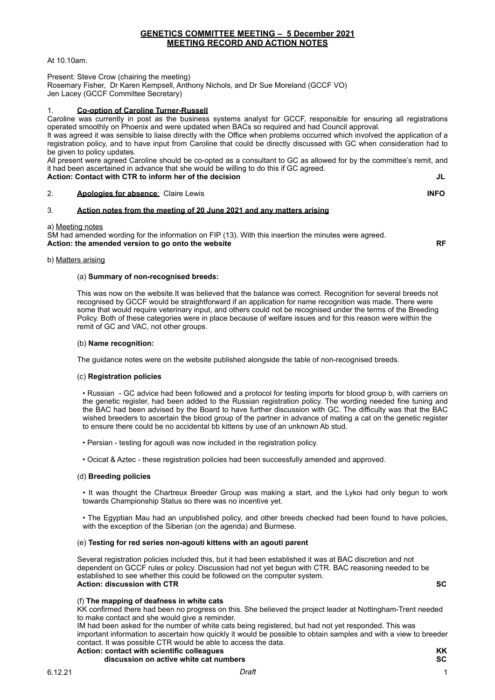At 10.10am.

Present: Steve Crow (chairing the meeting) Rosemary Fisher, Dr Karen Kempsell, Anthony Nichols, and Dr Sue Moreland (GCCF VO) Jen Lacey (GCCF Committee Secretary)

## 1. **Co-option of Caroline Turner-Russell**

Caroline was currently in post as the business systems analyst for GCCF, responsible for ensuring all registrations operated smoothly on Phoenix and were updated when BACs so required and had Council approval.

It was agreed it was sensible to liaise directly with the Office when problems occurred which involved the application of a registration policy, and to have input from Caroline that could be directly discussed with GC when consideration had to be given to policy updates.

All present were agreed Caroline should be co-opted as a consultant to GC as allowed for by the committee's remit, and it had been ascertained in advance that she would be willing to do this if GC agreed. Action: Contact with CTR to inform her of the decision

## 2. **Apologies for absence**: Claire Lewis **INFO**

## 3. **Action notes from the meeting of 20 June 2021 and any matters arising**

## a) Meeting notes

SM had amended wording for the information on FIP (13). With this insertion the minutes were agreed. **Action: the amended version to go onto the website RF**

## b) Matters arising

## (a) **Summary of non-recognised breeds:**

This was now on the website.It was believed that the balance was correct. Recognition for several breeds not recognised by GCCF would be straightforward if an application for name recognition was made. There were some that would require veterinary input, and others could not be recognised under the terms of the Breeding Policy. Both of these categories were in place because of welfare issues and for this reason were within the remit of GC and VAC, not other groups.

## (b) **Name recognition:**

The guidance notes were on the website published alongside the table of non-recognised breeds.

## (c) **Registration policies**

• Russian - GC advice had been followed and a protocol for testing imports for blood group b, with carriers on the genetic register, had been added to the Russian registration policy. The wording needed fine tuning and the BAC had been advised by the Board to have further discussion with GC. The difficulty was that the BAC wished breeders to ascertain the blood group of the partner in advance of mating a cat on the genetic register to ensure there could be no accidental bb kittens by use of an unknown Ab stud.

- Persian testing for agouti was now included in the registration policy.
- Ocicat & Aztec these registration policies had been successfully amended and approved.

## (d) **Breeding policies**

• It was thought the Chartreux Breeder Group was making a start, and the Lykoi had only begun to work towards Championship Status so there was no incentive yet.

• The Egyptian Mau had an unpublished policy, and other breeds checked had been found to have policies, with the exception of the Siberian (on the agenda) and Burmese.

## (e) **Testing for red series non-agouti kittens with an agouti parent**

Several registration policies included this, but it had been established it was at BAC discretion and not dependent on GCCF rules or policy. Discussion had not yet begun with CTR. BAC reasoning needed to be established to see whether this could be followed on the computer system. **Action: discussion with CTR SC**

## (f) **The mapping of deafness in white cats**

KK confirmed there had been no progress on this. She believed the project leader at Nottingham-Trent needed to make contact and she would give a reminder.

IM had been asked for the number of white cats being registered, but had not yet responded. This was important information to ascertain how quickly it would be possible to obtain samples and with a view to breeder contact. It was possible CTR would be able to access the data. **Action: contact with scientific colleagues KK**

# **discussion on active white cat numbers SC**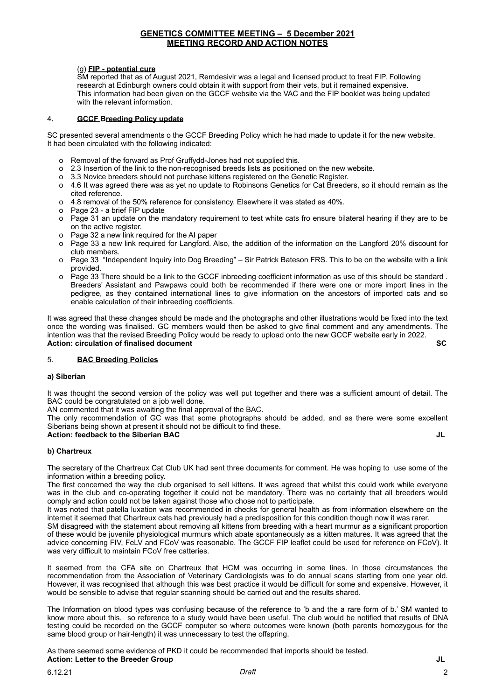## (g) **FIP - potential cure**

SM reported that as of August 2021, Remdesivir was a legal and licensed product to treat FIP. Following research at Edinburgh owners could obtain it with support from their vets, but it remained expensive. This information had been given on the GCCF website via the VAC and the FIP booklet was being updated with the relevant information.

## 4**. GCCF Breeding Policy update**

SC presented several amendments o the GCCF Breeding Policy which he had made to update it for the new website. It had been circulated with the following indicated:

- o Removal of the forward as Prof Gruffydd-Jones had not supplied this.
- o 2.3 Insertion of the link to the non-recognised breeds lists as positioned on the new website.
- o 3.3 Novice breeders should not purchase kittens registered on the Genetic Register.
- o 4.6 It was agreed there was as yet no update to Robinsons Genetics for Cat Breeders, so it should remain as the cited reference.
- o 4.8 removal of the 50% reference for consistency. Elsewhere it was stated as 40%.
- o Page 23 a brief FIP update
- o Page 31 an update on the mandatory requirement to test white cats fro ensure bilateral hearing if they are to be on the active register.
- o Page 32 a new link required for the AI paper
- o Page 33 a new link required for Langford. Also, the addition of the information on the Langford 20% discount for club members.
- o Page 33 "Independent Inquiry into Dog Breeding" Sir Patrick Bateson FRS. This to be on the website with a link provided.
- o Page 33 There should be a link to the GCCF inbreeding coefficient information as use of this should be standard . Breeders' Assistant and Pawpaws could both be recommended if there were one or more import lines in the pedigree, as they contained international lines to give information on the ancestors of imported cats and so enable calculation of their inbreeding coefficients.

It was agreed that these changes should be made and the photographs and other illustrations would be fixed into the text once the wording was finalised. GC members would then be asked to give final comment and any amendments. The intention was that the revised Breeding Policy would be ready to upload onto the new GCCF website early in 2022. **Action: circulation of finalised document SC** 

## 5. **BAC Breeding Policies**

## **a) Siberian**

It was thought the second version of the policy was well put together and there was a sufficient amount of detail. The BAC could be congratulated on a job well done.

AN commented that it was awaiting the final approval of the BAC.

The only recommendation of GC was that some photographs should be added, and as there were some excellent Siberians being shown at present it should not be difficult to find these.

## **Action: feedback to the Siberian BAC JL**

**b) Chartreux**

The secretary of the Chartreux Cat Club UK had sent three documents for comment. He was hoping to use some of the information within a breeding policy.

The first concerned the way the club organised to sell kittens. It was agreed that whilst this could work while everyone was in the club and co-operating together it could not be mandatory. There was no certainty that all breeders would comply and action could not be taken against those who chose not to participate.

It was noted that patella luxation was recommended in checks for general health as from information elsewhere on the internet it seemed that Chartreux cats had previously had a predisposition for this condition though now it was rarer.

SM disagreed with the statement about removing all kittens from breeding with a heart murmur as a significant proportion of these would be juvenile physiological murmurs which abate spontaneously as a kitten matures. It was agreed that the advice concerning FIV, FeLV and FCoV was reasonable. The GCCF FIP leaflet could be used for reference on FCoV). It was very difficult to maintain FCoV free catteries.

It seemed from the CFA site on Chartreux that HCM was occurring in some lines. In those circumstances the recommendation from the Association of Veterinary Cardiologists was to do annual scans starting from one year old. However, it was recognised that although this was best practice it would be difficult for some and expensive. However, it would be sensible to advise that regular scanning should be carried out and the results shared.

The Information on blood types was confusing because of the reference to 'b and the a rare form of b.' SM wanted to know more about this, so reference to a study would have been useful. The club would be notified that results of DNA testing could be recorded on the GCCF computer so where outcomes were known (both parents homozygous for the same blood group or hair-length) it was unnecessary to test the offspring.

As there seemed some evidence of PKD it could be recommended that imports should be tested. **Action: Letter to the Breeder Group JL**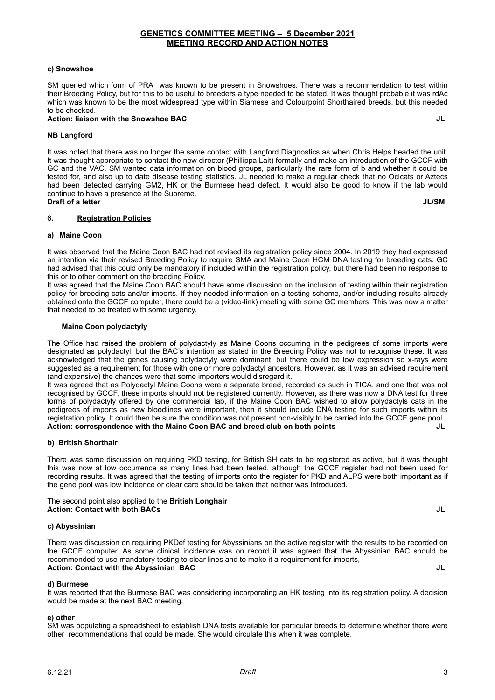## **c) Snowshoe**

SM queried which form of PRA was known to be present in Snowshoes. There was a recommendation to test within their Breeding Policy, but for this to be useful to breeders a type needed to be stated. It was thought probable it was rdAc which was known to be the most widespread type within Siamese and Colourpoint Shorthaired breeds, but this needed to be checked.

## **Action: liaison with the Snowshoe BAC JL**

## **NB Langford**

It was noted that there was no longer the same contact with Langford Diagnostics as when Chris Helps headed the unit. It was thought appropriate to contact the new director (Phillippa Lait) formally and make an introduction of the GCCF with GC and the VAC. SM wanted data information on blood groups, particularly the rare form of b and whether it could be tested for, and also up to date disease testing statistics. JL needed to make a regular check that no Ocicats or Aztecs had been detected carrying GM2, HK or the Burmese head defect. It would also be good to know if the lab would continue to have a presence at the Supreme. **Draft of a letter JL/SM** 

## 6**. Registration Policies**

## **a) Maine Coon**

It was observed that the Maine Coon BAC had not revised its registration policy since 2004. In 2019 they had expressed an intention via their revised Breeding Policy to require SMA and Maine Coon HCM DNA testing for breeding cats. GC had advised that this could only be mandatory if included within the registration policy, but there had been no response to this or to other comment on the breeding Policy.

It was agreed that the Maine Coon BAC should have some discussion on the inclusion of testing within their registration policy for breeding cats and/or imports. If they needed information on a testing scheme, and/or including results already obtained onto the GCCF computer, there could be a (video-link) meeting with some GC members. This was now a matter that needed to be treated with some urgency.

## **Maine Coon polydactyly**

The Office had raised the problem of polydactyly as Maine Coons occurring in the pedigrees of some imports were designated as polydactyl, but the BAC's intention as stated in the Breeding Policy was not to recognise these. It was acknowledged that the genes causing polydactyly were dominant, but there could be low expression so x-rays were suggested as a requirement for those with one or more polydactyl ancestors. However, as it was an advised requirement (and expensive) the chances were that some importers would disregard it.

It was agreed that as Polydactyl Maine Coons were a separate breed, recorded as such in TICA, and one that was not recognised by GCCF, these imports should not be registered currently. However, as there was now a DNA test for three forms of polydactyly offered by one commercial lab, if the Maine Coon BAC wished to allow polydactyls cats in the pedigrees of imports as new bloodlines were important, then it should include DNA testing for such imports within its registration policy. It could then be sure the condition was not present non-visibly to be carried into the GCCF gene pool. **Action: correspondence with the Maine Coon BAC and breed club on both points JL**

## **b) British Shorthair**

There was some discussion on requiring PKD testing, for British SH cats to be registered as active, but it was thought this was now at low occurrence as many lines had been tested, although the GCCF register had not been used for recording results. It was agreed that the testing of imports onto the register for PKD and ALPS were both important as if the gene pool was low incidence or clear care should be taken that neither was introduced.

## The second point also applied to the **British Longhair Action: Contact with both BACs JL**

## **c) Abyssinian**

There was discussion on requiring PKDef testing for Abyssinians on the active register with the results to be recorded on the GCCF computer. As some clinical incidence was on record it was agreed that the Abyssinian BAC should be recommended to use mandatory testing to clear lines and to make it a requirement for imports, **Action: Contact with the Abyssinian BAC JL**

## **d) Burmese**

It was reported that the Burmese BAC was considering incorporating an HK testing into its registration policy. A decision would be made at the next BAC meeting.

## **e) other**

SM was populating a spreadsheet to establish DNA tests available for particular breeds to determine whether there were other recommendations that could be made. She would circulate this when it was complete.